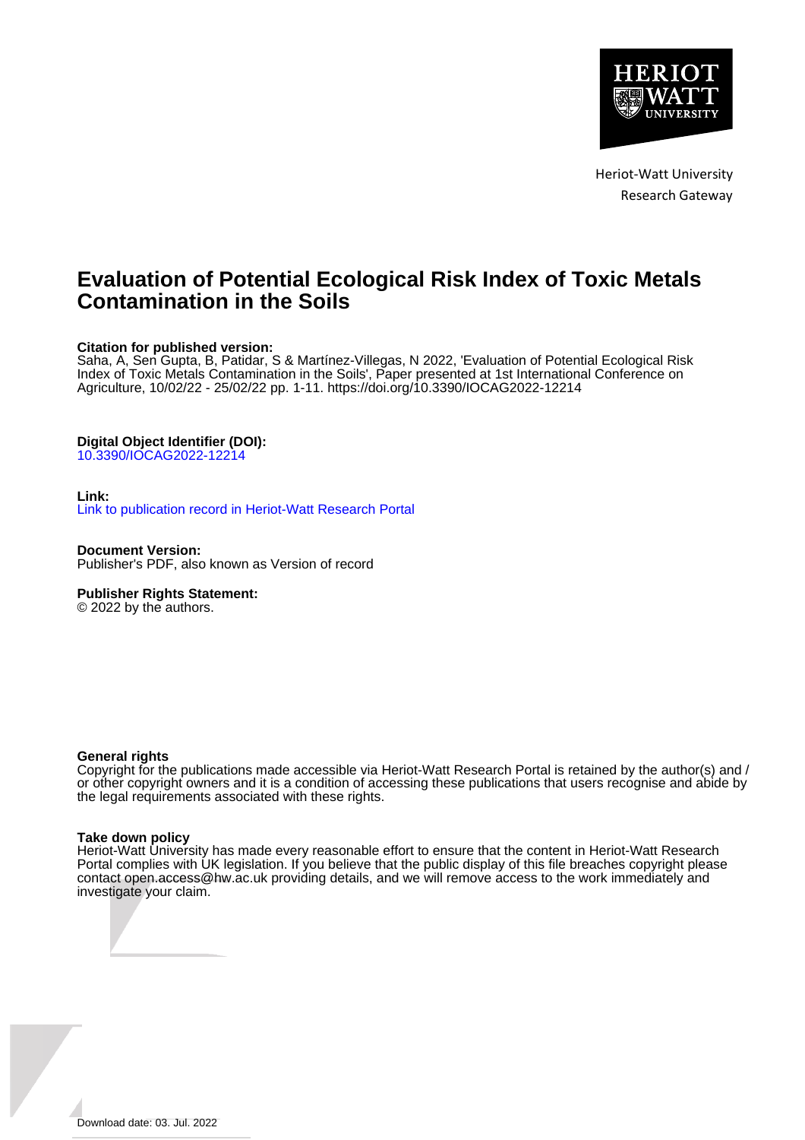

Heriot-Watt University Research Gateway

## **Evaluation of Potential Ecological Risk Index of Toxic Metals Contamination in the Soils**

## **Citation for published version:**

Saha, A, Sen Gupta, B, Patidar, S & Martínez-Villegas, N 2022, 'Evaluation of Potential Ecological Risk Index of Toxic Metals Contamination in the Soils', Paper presented at 1st International Conference on Agriculture, 10/02/22 - 25/02/22 pp. 1-11.<https://doi.org/10.3390/IOCAG2022-12214>

## **Digital Object Identifier (DOI):**

[10.3390/IOCAG2022-12214](https://doi.org/10.3390/IOCAG2022-12214)

### **Link:**

[Link to publication record in Heriot-Watt Research Portal](https://researchportal.hw.ac.uk/en/publications/53eac6f6-bc7e-4063-91ce-dc6f2e428079)

**Document Version:** Publisher's PDF, also known as Version of record

## **Publisher Rights Statement:**

© 2022 by the authors.

### **General rights**

Copyright for the publications made accessible via Heriot-Watt Research Portal is retained by the author(s) and / or other copyright owners and it is a condition of accessing these publications that users recognise and abide by the legal requirements associated with these rights.

### **Take down policy**

Heriot-Watt University has made every reasonable effort to ensure that the content in Heriot-Watt Research Portal complies with UK legislation. If you believe that the public display of this file breaches copyright please contact open.access@hw.ac.uk providing details, and we will remove access to the work immediately and investigate your claim.

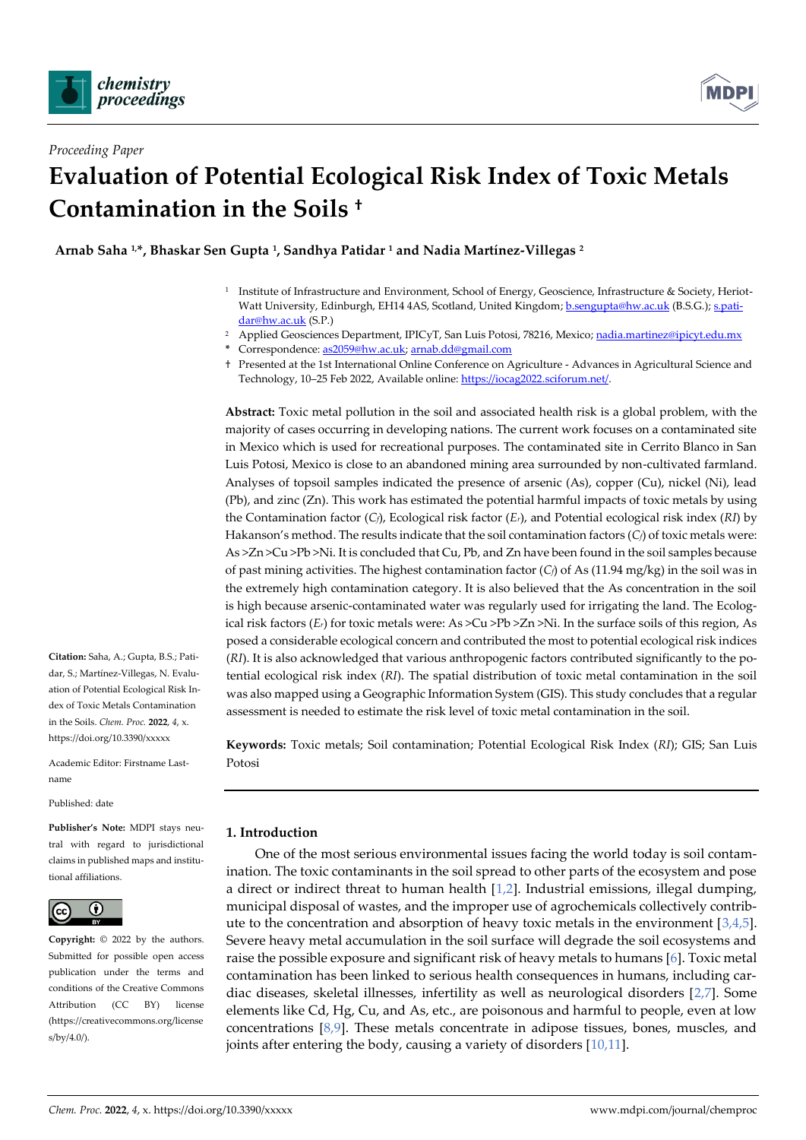



# *Proceeding Paper* **Evaluation of Potential Ecological Risk Index of Toxic Metals Contamination in the Soils †**

**Arnab Saha 1,\*, Bhaskar Sen Gupta <sup>1</sup> , Sandhya Patidar <sup>1</sup> and Nadia Martínez-Villegas <sup>2</sup>**

- 1 Institute of Infrastructure and Environment, School of Energy, Geoscience, Infrastructure & Society, Heriot-Watt University, Edinburgh, EH14 4AS, Scotland, United Kingdom[; b.sengupta@hw.ac.uk](mailto:b.sengupta@hw.ac.uk) (B.S.G.)[; s.pati](mailto:s.patidar@hw.ac.uk)[dar@hw.ac.uk](mailto:s.patidar@hw.ac.uk) (S.P.)
- <sup>2</sup> Applied Geosciences Department, IPICyT, San Luis Potosi, 78216, Mexico[; nadia.martinez@ipicyt.edu.mx](mailto:nadia.martinez@ipicyt.edu.mx)
	- **\*** Correspondence[: as2059@hw.ac.uk;](mailto:as2059@hw.ac.uk) [arnab.dd@gmail.com](mailto:arnab.dd@gmail.com)
	- † Presented at the 1st International Online Conference on Agriculture Advances in Agricultural Science and Technology, 10–25 Feb 2022, Available online: [https://iocag2022.sciforum.net/.](https://iocag2022.sciforum.net/)

**Abstract:** Toxic metal pollution in the soil and associated health risk is a global problem, with the majority of cases occurring in developing nations. The current work focuses on a contaminated site in Mexico which is used for recreational purposes. The contaminated site in Cerrito Blanco in San Luis Potosi, Mexico is close to an abandoned mining area surrounded by non-cultivated farmland. Analyses of topsoil samples indicated the presence of arsenic (As), copper (Cu), nickel (Ni), lead (Pb), and zinc (Zn). This work has estimated the potential harmful impacts of toxic metals by using the Contamination factor (*Cf*), Ecological risk factor (*Er*), and Potential ecological risk index (*RI*) by Hakanson's method. The results indicate that the soil contamination factors (*Cf*) of toxic metals were: As >Zn >Cu >Pb >Ni. It is concluded that Cu, Pb, and Zn have been found in the soil samples because of past mining activities. The highest contamination factor (*Cf*) of As (11.94 mg/kg) in the soil was in the extremely high contamination category. It is also believed that the As concentration in the soil is high because arsenic-contaminated water was regularly used for irrigating the land. The Ecological risk factors (*Er*) for toxic metals were: As >Cu >Pb >Zn >Ni. In the surface soils of this region, As posed a considerable ecological concern and contributed the most to potential ecological risk indices (*RI*). It is also acknowledged that various anthropogenic factors contributed significantly to the potential ecological risk index (*RI*). The spatial distribution of toxic metal contamination in the soil was also mapped using a Geographic Information System (GIS). This study concludes that a regular assessment is needed to estimate the risk level of toxic metal contamination in the soil.

**Keywords:** Toxic metals; Soil contamination; Potential Ecological Risk Index (*RI*); GIS; San Luis Potosi

## **1. Introduction**

One of the most serious environmental issues facing the world today is soil contamination. The toxic contaminants in the soil spread to other parts of the ecosystem and pose a direct or indirect threat to human health [1,2]. Industrial emissions, illegal dumping, municipal disposal of wastes, and the improper use of agrochemicals collectively contribute to the concentration and absorption of heavy toxic metals in the environment  $[3,4,5]$ . Severe heavy metal accumulation in the soil surface will degrade the soil ecosystems and raise the possible exposure and significant risk of heavy metals to humans [6]. Toxic metal contamination has been linked to serious health consequences in humans, including cardiac diseases, skeletal illnesses, infertility as well as neurological disorders [2,7]. Some elements like Cd, Hg, Cu, and As, etc., are poisonous and harmful to people, even at low concentrations  $[8,9]$ . These metals concentrate in adipose tissues, bones, muscles, and joints after entering the body, causing a variety of disorders [10,11].

**Citation:** Saha, A.; Gupta, B.S.; Patidar, S.; Martínez-Villegas, N. Evaluation of Potential Ecological Risk Index of Toxic Metals Contamination in the Soils. *Chem. Proc.* **2022**, *4*, x. https://doi.org/10.3390/xxxxx

Academic Editor: Firstname Lastname

Published: date

**Publisher's Note:** MDPI stays neutral with regard to jurisdictional claims in published maps and institutional affiliations.



**Copyright:** © 2022 by the authors. Submitted for possible open access publication under the terms and conditions of the Creative Commons Attribution (CC BY) license (https://creativecommons.org/license s/by/4.0/).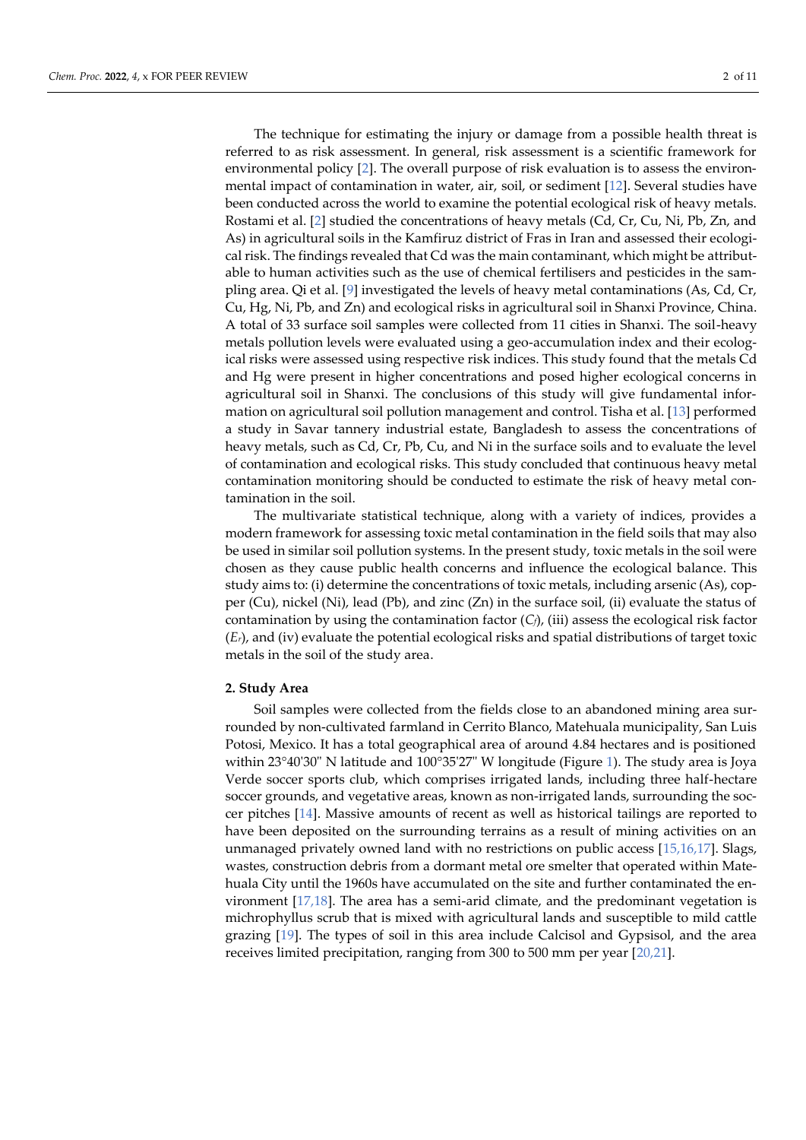The technique for estimating the injury or damage from a possible health threat is referred to as risk assessment. In general, risk assessment is a scientific framework for environmental policy [2]. The overall purpose of risk evaluation is to assess the environmental impact of contamination in water, air, soil, or sediment [12]. Several studies have been conducted across the world to examine the potential ecological risk of heavy metals. Rostami et al. [2] studied the concentrations of heavy metals (Cd, Cr, Cu, Ni, Pb, Zn, and As) in agricultural soils in the Kamfiruz district of Fras in Iran and assessed their ecological risk. The findings revealed that Cd was the main contaminant, which might be attributable to human activities such as the use of chemical fertilisers and pesticides in the sampling area. Qi et al. [9] investigated the levels of heavy metal contaminations (As, Cd, Cr, Cu, Hg, Ni, Pb, and Zn) and ecological risks in agricultural soil in Shanxi Province, China. A total of 33 surface soil samples were collected from 11 cities in Shanxi. The soil-heavy metals pollution levels were evaluated using a geo-accumulation index and their ecological risks were assessed using respective risk indices. This study found that the metals Cd and Hg were present in higher concentrations and posed higher ecological concerns in agricultural soil in Shanxi. The conclusions of this study will give fundamental information on agricultural soil pollution management and control. Tisha et al. [13] performed a study in Savar tannery industrial estate, Bangladesh to assess the concentrations of heavy metals, such as Cd, Cr, Pb, Cu, and Ni in the surface soils and to evaluate the level of contamination and ecological risks. This study concluded that continuous heavy metal contamination monitoring should be conducted to estimate the risk of heavy metal contamination in the soil.

The multivariate statistical technique, along with a variety of indices, provides a modern framework for assessing toxic metal contamination in the field soils that may also be used in similar soil pollution systems. In the present study, toxic metals in the soil were chosen as they cause public health concerns and influence the ecological balance. This study aims to: (i) determine the concentrations of toxic metals, including arsenic (As), copper (Cu), nickel (Ni), lead (Pb), and zinc (Zn) in the surface soil, (ii) evaluate the status of contamination by using the contamination factor (*Cf*), (iii) assess the ecological risk factor (*Er*), and (iv) evaluate the potential ecological risks and spatial distributions of target toxic metals in the soil of the study area.

#### **2. Study Area**

Soil samples were collected from the fields close to an abandoned mining area surrounded by non-cultivated farmland in Cerrito Blanco, Matehuala municipality, San Luis Potosi, Mexico. It has a total geographical area of around 4.84 hectares and is positioned within 23°40'30" N latitude and 100°35'27" W longitude (Figure 1). The study area is Joya Verde soccer sports club, which comprises irrigated lands, including three half-hectare soccer grounds, and vegetative areas, known as non-irrigated lands, surrounding the soccer pitches [14]. Massive amounts of recent as well as historical tailings are reported to have been deposited on the surrounding terrains as a result of mining activities on an unmanaged privately owned land with no restrictions on public access [15,16,17]. Slags, wastes, construction debris from a dormant metal ore smelter that operated within Matehuala City until the 1960s have accumulated on the site and further contaminated the environment  $[17,18]$ . The area has a semi-arid climate, and the predominant vegetation is michrophyllus scrub that is mixed with agricultural lands and susceptible to mild cattle grazing [19]. The types of soil in this area include Calcisol and Gypsisol, and the area receives limited precipitation, ranging from 300 to 500 mm per year [20,21].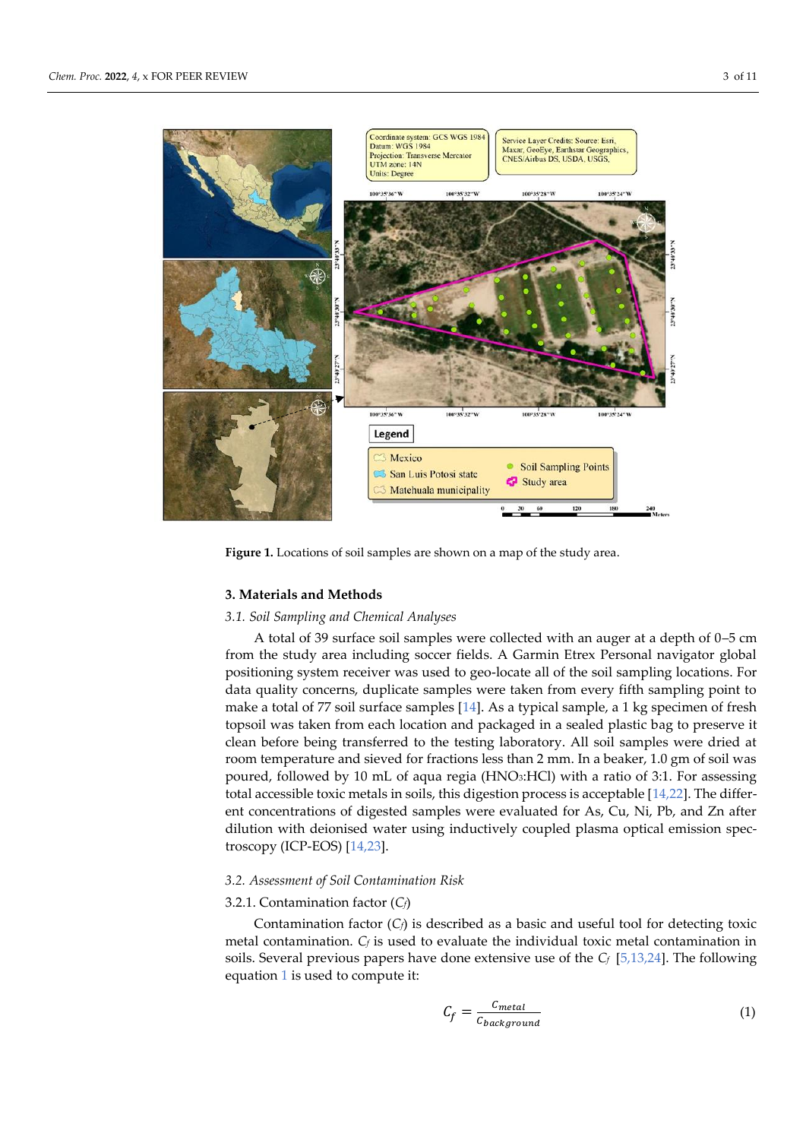

**Figure 1.** Locations of soil samples are shown on a map of the study area.

## **3. Materials and Methods**

### *3.1. Soil Sampling and Chemical Analyses*

A total of 39 surface soil samples were collected with an auger at a depth of 0–5 cm from the study area including soccer fields. A Garmin Etrex Personal navigator global positioning system receiver was used to geo-locate all of the soil sampling locations. For data quality concerns, duplicate samples were taken from every fifth sampling point to make a total of 77 soil surface samples [14]. As a typical sample, a 1 kg specimen of fresh topsoil was taken from each location and packaged in a sealed plastic bag to preserve it clean before being transferred to the testing laboratory. All soil samples were dried at room temperature and sieved for fractions less than 2 mm. In a beaker, 1.0 gm of soil was poured, followed by 10 mL of aqua regia (HNO3:HCl) with a ratio of 3:1. For assessing total accessible toxic metals in soils, this digestion process is acceptable [14,22]. The different concentrations of digested samples were evaluated for As, Cu, Ni, Pb, and Zn after dilution with deionised water using inductively coupled plasma optical emission spectroscopy (ICP-EOS) [14,23].

## *3.2. Assessment of Soil Contamination Risk*

## 3.2.1. Contamination factor (*Cf*)

Contamination factor (*Cf*) is described as a basic and useful tool for detecting toxic metal contamination. *C<sup>f</sup>* is used to evaluate the individual toxic metal contamination in soils. Several previous papers have done extensive use of the *Cf* [5,13,24]. The following equation 1 is used to compute it:

$$
C_f = \frac{C_{metal}}{C_{background}}\tag{1}
$$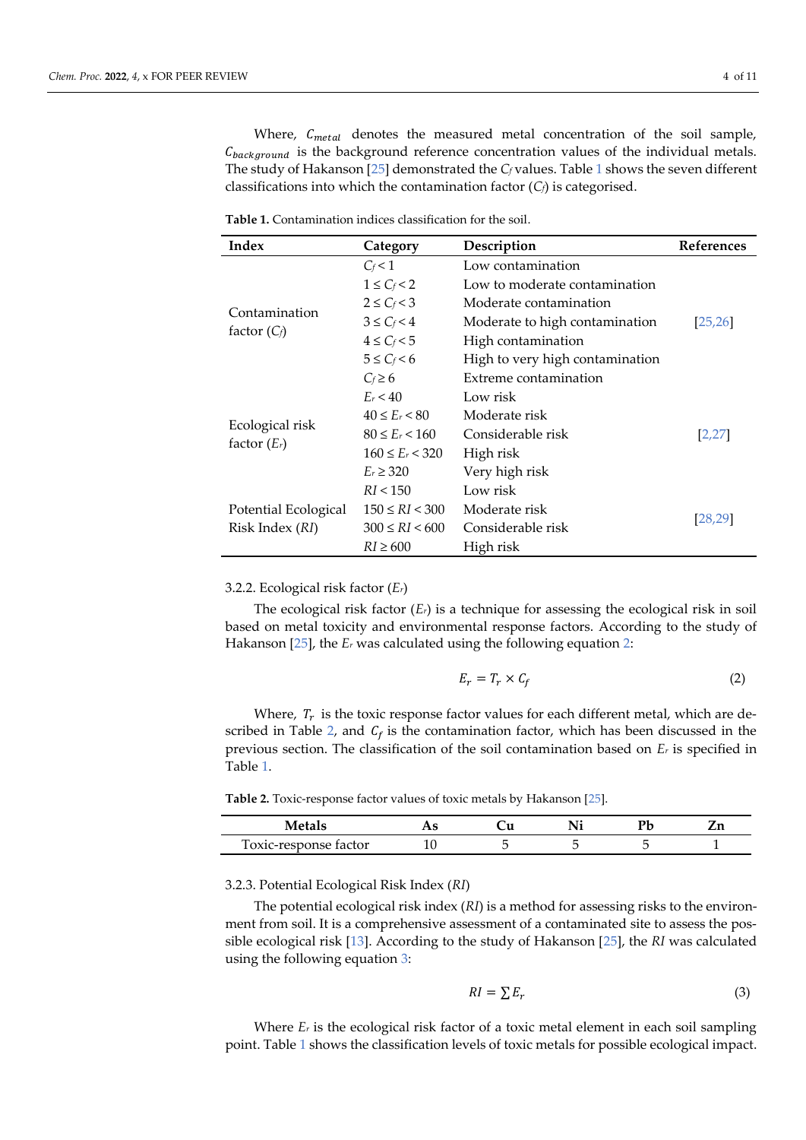Where,  $C_{metal}$  denotes the measured metal concentration of the soil sample,  $C_{background}$  is the background reference concentration values of the individual metals. The study of Hakanson [25] demonstrated the *C<sup>f</sup>* values. Table 1 shows the seven different classifications into which the contamination factor (*Cf*) is categorised.

| Index                | Category               | Description                     | <b>References</b> |  |
|----------------------|------------------------|---------------------------------|-------------------|--|
|                      | $C_f$ < 1              | Low contamination               |                   |  |
|                      | $1 \leq C_f < 2$       | Low to moderate contamination   |                   |  |
| Contamination        | $2 \le C_f < 3$        | Moderate contamination          |                   |  |
|                      | $3 \leq C_f < 4$       | Moderate to high contamination  | [25, 26]          |  |
| factor $(C_f)$       | $4 \leq C_f < 5$       | High contamination              |                   |  |
|                      | $5 \leq C_f < 6$       | High to very high contamination |                   |  |
|                      | $C_f \geq 6$           | Extreme contamination           |                   |  |
|                      | $E_r < 40$             | Low risk                        |                   |  |
|                      | $40 \le E_r < 80$      | Moderate risk                   |                   |  |
| Ecological risk      | $80 \le E_r < 160$     | Considerable risk               | [2, 27]           |  |
| factor $(E_r)$       | $160 \le E_r < 320$    | High risk                       |                   |  |
|                      | $E_r \ge 320$          | Very high risk                  |                   |  |
|                      | RI < 150               | Low risk                        |                   |  |
| Potential Ecological | $150 \leq RI \leq 300$ | Moderate risk                   |                   |  |
| Risk Index (RI)      | $300 \leq RI \leq 600$ | Considerable risk               | [28, 29]          |  |
|                      | $RI \geq 600$          | High risk                       |                   |  |

**Table 1.** Contamination indices classification for the soil.

#### 3.2.2. Ecological risk factor (*Er*)

The ecological risk factor (*Er*) is a technique for assessing the ecological risk in soil based on metal toxicity and environmental response factors. According to the study of Hakanson [25], the *E<sup>r</sup>* was calculated using the following equation 2:

$$
E_r = T_r \times C_f \tag{2}
$$

Where,  $T_r$  is the toxic response factor values for each different metal, which are described in Table 2, and  $C_f$  is the contamination factor, which has been discussed in the previous section. The classification of the soil contamination based on *E<sup>r</sup>* is specified in Table 1.

**Table 2.** Toxic-response factor values of toxic metals by Hakanson [25].

| Toxic-response factor | ⊥∪ |  |  |
|-----------------------|----|--|--|

3.2.3. Potential Ecological Risk Index (*RI*)

The potential ecological risk index (*RI*) is a method for assessing risks to the environment from soil. It is a comprehensive assessment of a contaminated site to assess the possible ecological risk [13]. According to the study of Hakanson [25], the *RI* was calculated using the following equation 3:

$$
RI = \sum E_r \tag{3}
$$

Where  $E<sub>r</sub>$  is the ecological risk factor of a toxic metal element in each soil sampling point. Table 1 shows the classification levels of toxic metals for possible ecological impact.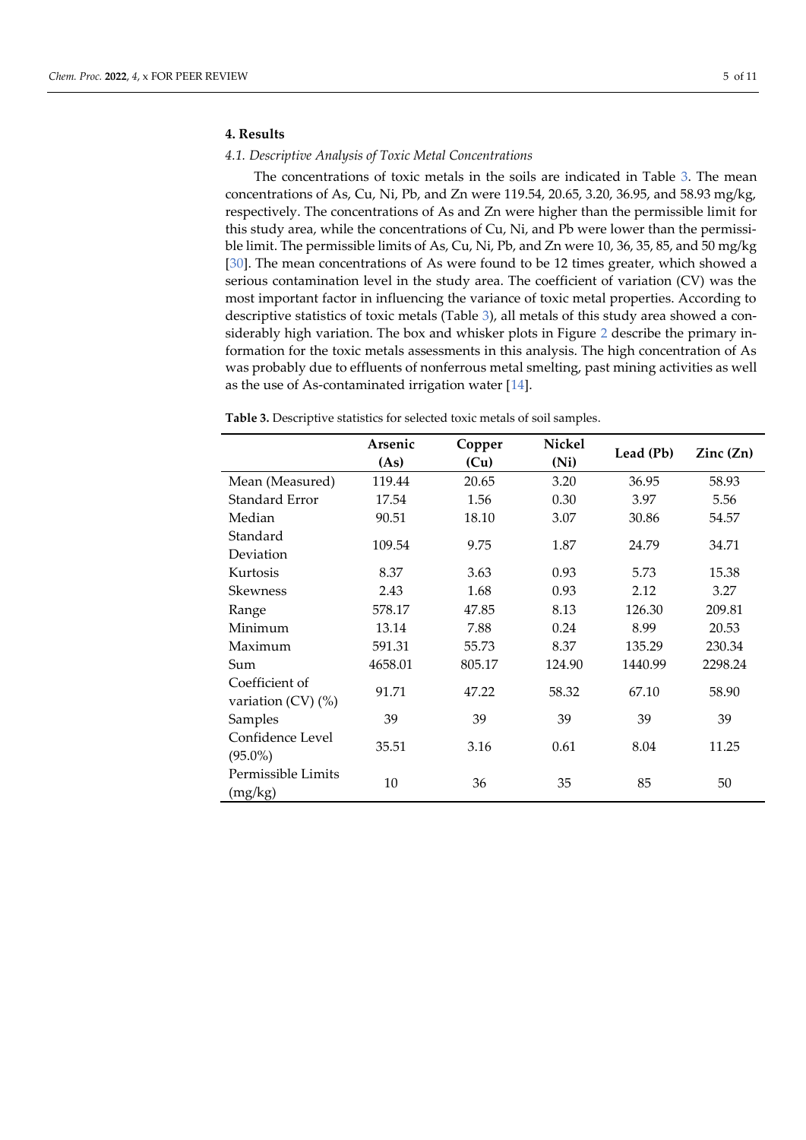## **4. Results**

### *4.1. Descriptive Analysis of Toxic Metal Concentrations*

The concentrations of toxic metals in the soils are indicated in Table 3. The mean concentrations of As, Cu, Ni, Pb, and Zn were 119.54, 20.65, 3.20, 36.95, and 58.93 mg/kg, respectively. The concentrations of As and Zn were higher than the permissible limit for this study area, while the concentrations of Cu, Ni, and Pb were lower than the permissible limit. The permissible limits of As, Cu, Ni, Pb, and Zn were 10, 36, 35, 85, and 50 mg/kg [30]. The mean concentrations of As were found to be 12 times greater, which showed a serious contamination level in the study area. The coefficient of variation (CV) was the most important factor in influencing the variance of toxic metal properties. According to descriptive statistics of toxic metals (Table 3), all metals of this study area showed a considerably high variation. The box and whisker plots in Figure 2 describe the primary information for the toxic metals assessments in this analysis. The high concentration of As was probably due to effluents of nonferrous metal smelting, past mining activities as well as the use of As-contaminated irrigation water [14].

|                         | Arsenic | Copper | Nickel | Lead (Pb) | $\text{Zinc}(\text{Zn})$ |  |
|-------------------------|---------|--------|--------|-----------|--------------------------|--|
|                         | (As)    | (Cu)   | (Ni)   |           |                          |  |
| Mean (Measured)         | 119.44  | 20.65  | 3.20   | 36.95     | 58.93                    |  |
| Standard Error          | 17.54   | 1.56   | 0.30   | 3.97      | 5.56                     |  |
| Median                  | 90.51   | 18.10  | 3.07   | 30.86     | 54.57                    |  |
| Standard                |         |        |        |           |                          |  |
| Deviation               | 109.54  | 9.75   | 1.87   | 24.79     | 34.71                    |  |
| Kurtosis                | 8.37    | 3.63   | 0.93   | 5.73      | 15.38                    |  |
| Skewness                | 2.43    | 1.68   | 0.93   | 2.12      | 3.27                     |  |
| Range                   | 578.17  | 47.85  | 8.13   | 126.30    | 209.81                   |  |
| Minimum                 | 13.14   | 7.88   | 0.24   | 8.99      | 20.53                    |  |
| Maximum                 | 591.31  | 55.73  | 8.37   | 135.29    | 230.34                   |  |
| Sum                     | 4658.01 | 805.17 | 124.90 | 1440.99   | 2298.24                  |  |
| Coefficient of          | 91.71   | 47.22  | 58.32  | 67.10     | 58.90                    |  |
| variation $(CV)$ $(\%)$ |         |        |        |           |                          |  |
| Samples                 | 39      | 39     | 39     | 39        | 39                       |  |
| Confidence Level        | 35.51   | 3.16   | 0.61   | 8.04      | 11.25                    |  |
| $(95.0\%)$              |         |        |        |           |                          |  |
| Permissible Limits      |         |        |        |           |                          |  |
| (mg/kg)                 | 10      | 36     | 35     | 85        | 50                       |  |

**Table 3.** Descriptive statistics for selected toxic metals of soil samples.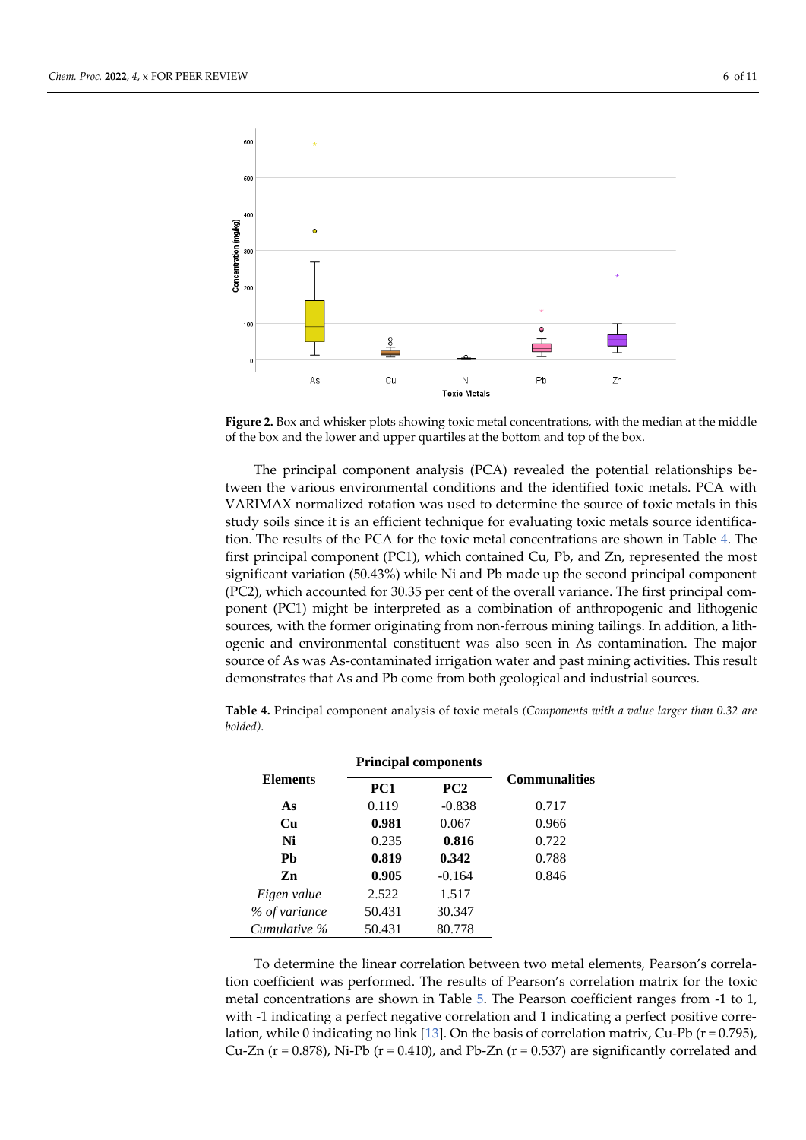

Figure 2. Box and whisker plots showing toxic metal concentrations, with the median at the middle of the box and the lower and upper quartiles at the bottom and top of the box.

The principal component analysis (PCA) revealed the potential relationships between the various environmental conditions and the identified toxic metals. PCA with VARIMAX normalized rotation was used to determine the source of toxic metals in this study soils since it is an efficient technique for evaluating toxic metals source identification. The results of the PCA for the toxic metal concentrations are shown in Table 4. The first principal component (PC1), which contained Cu, Pb, and Zn, represented the most significant variation (50.43%) while Ni and Pb made up the second principal component (PC2), which accounted for 30.35 per cent of the overall variance. The first principal component (PC1) might be interpreted as a combination of anthropogenic and lithogenic sources, with the former originating from non-ferrous mining tailings. In addition, a lithogenic and environmental constituent was also seen in As contamination. The major source of As was As-contaminated irrigation water and past mining activities. This result demonstrates that As and Pb come from both geological and industrial sources.

|                 | <b>Principal components</b> |          |                      |
|-----------------|-----------------------------|----------|----------------------|
| <b>Elements</b> | PC1                         | PC2      | <b>Communalities</b> |
| As              | 0.119                       | $-0.838$ | 0.717                |
| Cu              | 0.981                       | 0.067    | 0.966                |
| Ni              | 0.235                       | 0.816    | 0.722                |
| Ph              | 0.819                       | 0.342    | 0.788                |
| Zn              | 0.905                       | $-0.164$ | 0.846                |
| Eigen value     | 2.522                       | 1.517    |                      |
| % of variance   | 50.431                      | 30.347   |                      |
| Cumulative %    | 50.431                      | 80.778   |                      |

**Table 4.** Principal component analysis of toxic metals *(Components with a value larger than 0.32 are bolded)*.

To determine the linear correlation between two metal elements, Pearson's correlation coefficient was performed. The results of Pearson's correlation matrix for the toxic metal concentrations are shown in Table 5. The Pearson coefficient ranges from -1 to 1, with -1 indicating a perfect negative correlation and 1 indicating a perfect positive correlation, while 0 indicating no link [13]. On the basis of correlation matrix, Cu-Pb ( $r = 0.795$ ), Cu-Zn ( $r = 0.878$ ), Ni-Pb ( $r = 0.410$ ), and Pb-Zn ( $r = 0.537$ ) are significantly correlated and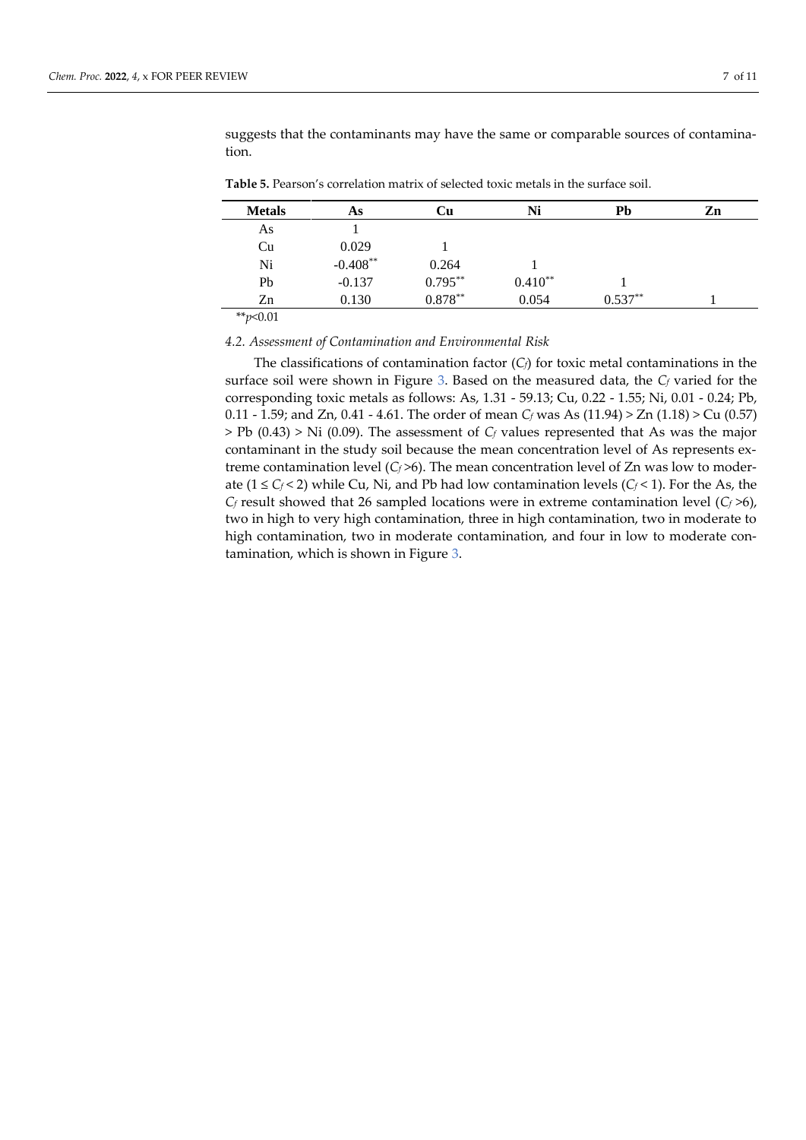| <b>Metals</b> | As         | Cu         | Ni        | Pb        | Zn |
|---------------|------------|------------|-----------|-----------|----|
| As            |            |            |           |           |    |
| Cu            | 0.029      |            |           |           |    |
| Ni            | $-0.408**$ | 0.264      |           |           |    |
| Pb            | $-0.137$   | $0.795***$ | $0.410**$ |           |    |
| Zn            | 0.130      | $0.878***$ | 0.054     | $0.537**$ |    |

suggests that the contaminants may have the same or comparable sources of contamination.

**Table 5.** Pearson's correlation matrix of selected toxic metals in the surface soil.

\*\**p*<0.01

*4.2. Assessment of Contamination and Environmental Risk*

The classifications of contamination factor  $(C_f)$  for toxic metal contaminations in the surface soil were shown in Figure 3. Based on the measured data, the *C<sup>f</sup>* varied for the corresponding toxic metals as follows: As, 1.31 - 59.13; Cu, 0.22 - 1.55; Ni, 0.01 - 0.24; Pb, 0.11 - 1.59; and Zn, 0.41 - 4.61. The order of mean *C<sup>f</sup>* was As (11.94) > Zn (1.18) > Cu (0.57) > Pb (0.43) > Ni (0.09). The assessment of *C<sup>f</sup>* values represented that As was the major contaminant in the study soil because the mean concentration level of As represents extreme contamination level  $(C_f > 6)$ . The mean concentration level of Zn was low to moderate ( $1 \le C_f < 2$ ) while Cu, Ni, and Pb had low contamination levels ( $C_f < 1$ ). For the As, the  $C_f$  result showed that 26 sampled locations were in extreme contamination level ( $C_f$ >6), two in high to very high contamination, three in high contamination, two in moderate to high contamination, two in moderate contamination, and four in low to moderate contamination, which is shown in Figure 3.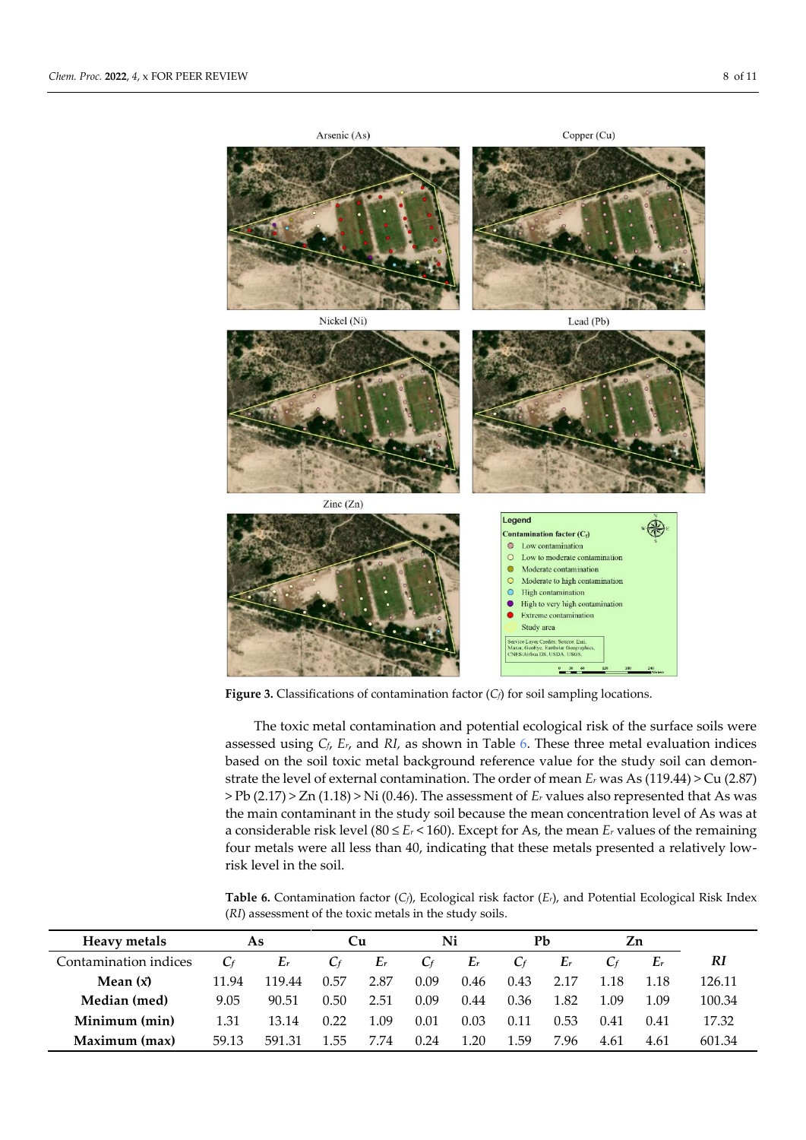

**Figure 3.** Classifications of contamination factor (*Cf*) for soil sampling locations.

The toxic metal contamination and potential ecological risk of the surface soils were assessed using  $C_f$ ,  $E_r$ , and  $RI$ , as shown in Table 6. These three metal evaluation indices based on the soil toxic metal background reference value for the study soil can demonstrate the level of external contamination. The order of mean *E<sup>r</sup>* was As (119.44) > Cu (2.87) > Pb (2.17) > Zn (1.18) > Ni (0.46). The assessment of *E<sup>r</sup>* values also represented that As was the main contaminant in the study soil because the mean concentration level of As was at a considerable risk level (80  $\le E_r$  < 160). Except for As, the mean  $E_r$  values of the remaining four metals were all less than 40, indicating that these metals presented a relatively lowrisk level in the soil.

**Table 6.** Contamination factor (*Cf*), Ecological risk factor (*Er*), and Potential Ecological Risk Index (*RI*) assessment of the toxic metals in the study soils.

| Heavy metals          |       | As     | Сu    |       | Ni    |       | Pb    |           | Zn    |       |        |
|-----------------------|-------|--------|-------|-------|-------|-------|-------|-----------|-------|-------|--------|
| Contamination indices | $C_f$ | $E_r$  | $C_f$ | $E_r$ | $C_f$ | $E_r$ | $C_f$ | $E_r$     | $C_f$ | $E_r$ | RI     |
| Mean $(x)$            | 11.94 | 119.44 | 0.57  | 2.87  | 0.09  | 0.46  | 0.43  | 2.17      | 1.18  | 1.18  | 126.11 |
| Median (med)          | 9.05  | 90.51  | 0.50  | 2.51  | 0.09  | 0.44  | 0.36  | 1.82      | 1.09  | 1.09  | 100.34 |
| Minimum (min)         | 1.31  | 13.14  | 0.22  | 1.09  | 0.01  | 0.03  | 0.11  | 0.53      | 0.41  | 0.41  | 17.32  |
| Maximum (max)         | 59.13 | 591.31 | 1.55  | 7.74  | 0.24  | 1.20  | 1.59  | 7.96<br>7 | 4.61  | 4.61  | 601.34 |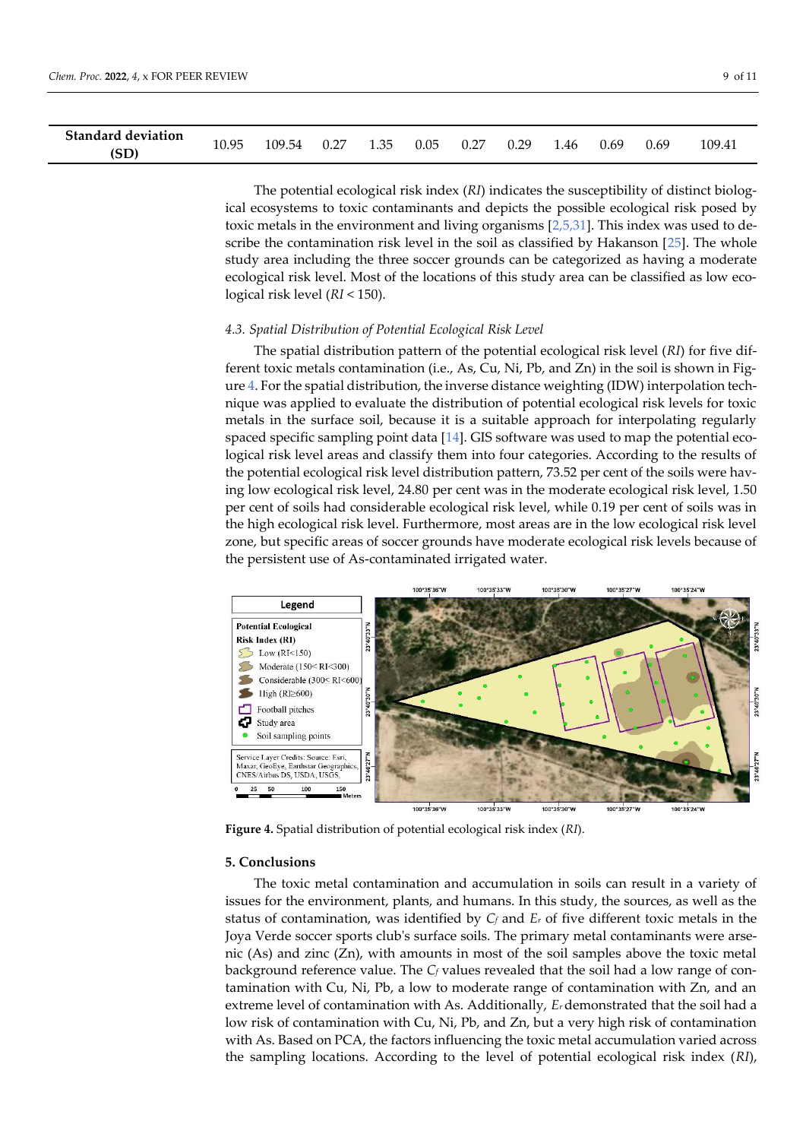| <b>Standard deviation</b> | 10.95 | 109.54 | 0.27 | 1.35 | 0.05 | በ 27 | 0.29 | 1.46 | 0.69 | 0.69 | 109.41 |
|---------------------------|-------|--------|------|------|------|------|------|------|------|------|--------|
| (SD)                      |       |        |      |      |      |      |      |      |      |      |        |

The potential ecological risk index (*RI*) indicates the susceptibility of distinct biological ecosystems to toxic contaminants and depicts the possible ecological risk posed by toxic metals in the environment and living organisms  $[2,5,31]$ . This index was used to describe the contamination risk level in the soil as classified by Hakanson [25]. The whole study area including the three soccer grounds can be categorized as having a moderate ecological risk level. Most of the locations of this study area can be classified as low ecological risk level (*RI* < 150).

#### *4.3. Spatial Distribution of Potential Ecological Risk Level*

The spatial distribution pattern of the potential ecological risk level (*RI*) for five different toxic metals contamination (i.e., As, Cu, Ni, Pb, and Zn) in the soil is shown in Figure 4. For the spatial distribution, the inverse distance weighting (IDW) interpolation technique was applied to evaluate the distribution of potential ecological risk levels for toxic metals in the surface soil, because it is a suitable approach for interpolating regularly spaced specific sampling point data [14]. GIS software was used to map the potential ecological risk level areas and classify them into four categories. According to the results of the potential ecological risk level distribution pattern, 73.52 per cent of the soils were having low ecological risk level, 24.80 per cent was in the moderate ecological risk level, 1.50 per cent of soils had considerable ecological risk level, while 0.19 per cent of soils was in the high ecological risk level. Furthermore, most areas are in the low ecological risk level zone, but specific areas of soccer grounds have moderate ecological risk levels because of the persistent use of As-contaminated irrigated water.



**Figure 4.** Spatial distribution of potential ecological risk index (*RI*).

#### **5. Conclusions**

The toxic metal contamination and accumulation in soils can result in a variety of issues for the environment, plants, and humans. In this study, the sources, as well as the status of contamination, was identified by *C<sup>f</sup>* and *E<sup>r</sup>* of five different toxic metals in the Joya Verde soccer sports club's surface soils. The primary metal contaminants were arsenic (As) and zinc (Zn), with amounts in most of the soil samples above the toxic metal background reference value. The *C<sup>f</sup>* values revealed that the soil had a low range of contamination with Cu, Ni, Pb, a low to moderate range of contamination with Zn, and an extreme level of contamination with As. Additionally, *Er* demonstrated that the soil had a low risk of contamination with Cu, Ni, Pb, and Zn, but a very high risk of contamination with As. Based on PCA, the factors influencing the toxic metal accumulation varied across the sampling locations. According to the level of potential ecological risk index (*RI*),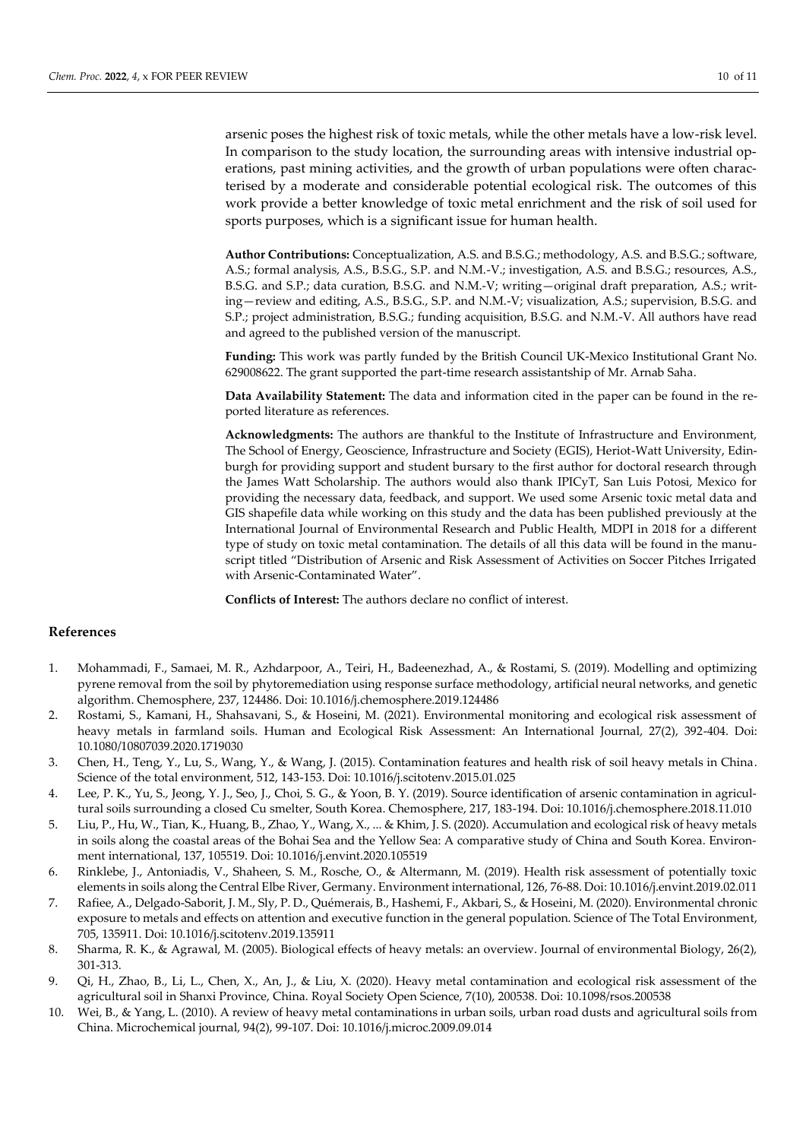arsenic poses the highest risk of toxic metals, while the other metals have a low-risk level. In comparison to the study location, the surrounding areas with intensive industrial operations, past mining activities, and the growth of urban populations were often characterised by a moderate and considerable potential ecological risk. The outcomes of this work provide a better knowledge of toxic metal enrichment and the risk of soil used for sports purposes, which is a significant issue for human health.

**Author Contributions:** Conceptualization, A.S. and B.S.G.; methodology, A.S. and B.S.G.; software, A.S.; formal analysis, A.S., B.S.G., S.P. and N.M.-V.; investigation, A.S. and B.S.G.; resources, A.S., B.S.G. and S.P.; data curation, B.S.G. and N.M.-V; writing—original draft preparation, A.S.; writing—review and editing, A.S., B.S.G., S.P. and N.M.-V; visualization, A.S.; supervision, B.S.G. and S.P.; project administration, B.S.G.; funding acquisition, B.S.G. and N.M.-V. All authors have read and agreed to the published version of the manuscript.

**Funding:** This work was partly funded by the British Council UK-Mexico Institutional Grant No. 629008622. The grant supported the part-time research assistantship of Mr. Arnab Saha.

**Data Availability Statement:** The data and information cited in the paper can be found in the reported literature as references.

**Acknowledgments:** The authors are thankful to the Institute of Infrastructure and Environment, The School of Energy, Geoscience, Infrastructure and Society (EGIS), Heriot-Watt University, Edinburgh for providing support and student bursary to the first author for doctoral research through the James Watt Scholarship. The authors would also thank IPICyT, San Luis Potosi, Mexico for providing the necessary data, feedback, and support. We used some Arsenic toxic metal data and GIS shapefile data while working on this study and the data has been published previously at the International Journal of Environmental Research and Public Health, MDPI in 2018 for a different type of study on toxic metal contamination. The details of all this data will be found in the manuscript titled "Distribution of Arsenic and Risk Assessment of Activities on Soccer Pitches Irrigated with Arsenic-Contaminated Water".

**Conflicts of Interest:** The authors declare no conflict of interest.

## **References**

- 1. Mohammadi, F., Samaei, M. R., Azhdarpoor, A., Teiri, H., Badeenezhad, A., & Rostami, S. (2019). Modelling and optimizing pyrene removal from the soil by phytoremediation using response surface methodology, artificial neural networks, and genetic algorithm. Chemosphere, 237, 124486. Doi: 10.1016/j.chemosphere.2019.124486
- 2. Rostami, S., Kamani, H., Shahsavani, S., & Hoseini, M. (2021). Environmental monitoring and ecological risk assessment of heavy metals in farmland soils. Human and Ecological Risk Assessment: An International Journal, 27(2), 392-404. Doi: 10.1080/10807039.2020.1719030
- 3. Chen, H., Teng, Y., Lu, S., Wang, Y., & Wang, J. (2015). Contamination features and health risk of soil heavy metals in China. Science of the total environment, 512, 143-153. Doi: 10.1016/j.scitotenv.2015.01.025
- 4. Lee, P. K., Yu, S., Jeong, Y. J., Seo, J., Choi, S. G., & Yoon, B. Y. (2019). Source identification of arsenic contamination in agricultural soils surrounding a closed Cu smelter, South Korea. Chemosphere, 217, 183-194. Doi: 10.1016/j.chemosphere.2018.11.010
- 5. Liu, P., Hu, W., Tian, K., Huang, B., Zhao, Y., Wang, X., ... & Khim, J. S. (2020). Accumulation and ecological risk of heavy metals in soils along the coastal areas of the Bohai Sea and the Yellow Sea: A comparative study of China and South Korea. Environment international, 137, 105519. Doi: 10.1016/j.envint.2020.105519
- 6. Rinklebe, J., Antoniadis, V., Shaheen, S. M., Rosche, O., & Altermann, M. (2019). Health risk assessment of potentially toxic elements in soils along the Central Elbe River, Germany. Environment international, 126, 76-88. Doi: 10.1016/j.envint.2019.02.011
- 7. Rafiee, A., Delgado-Saborit, J. M., Sly, P. D., Quémerais, B., Hashemi, F., Akbari, S., & Hoseini, M. (2020). Environmental chronic exposure to metals and effects on attention and executive function in the general population. Science of The Total Environment, 705, 135911. Doi: 10.1016/j.scitotenv.2019.135911
- 8. Sharma, R. K., & Agrawal, M. (2005). Biological effects of heavy metals: an overview. Journal of environmental Biology, 26(2), 301-313.
- 9. Qi, H., Zhao, B., Li, L., Chen, X., An, J., & Liu, X. (2020). Heavy metal contamination and ecological risk assessment of the agricultural soil in Shanxi Province, China. Royal Society Open Science, 7(10), 200538. Doi: 10.1098/rsos.200538
- 10. Wei, B., & Yang, L. (2010). A review of heavy metal contaminations in urban soils, urban road dusts and agricultural soils from China. Microchemical journal, 94(2), 99-107. Doi: 10.1016/j.microc.2009.09.014